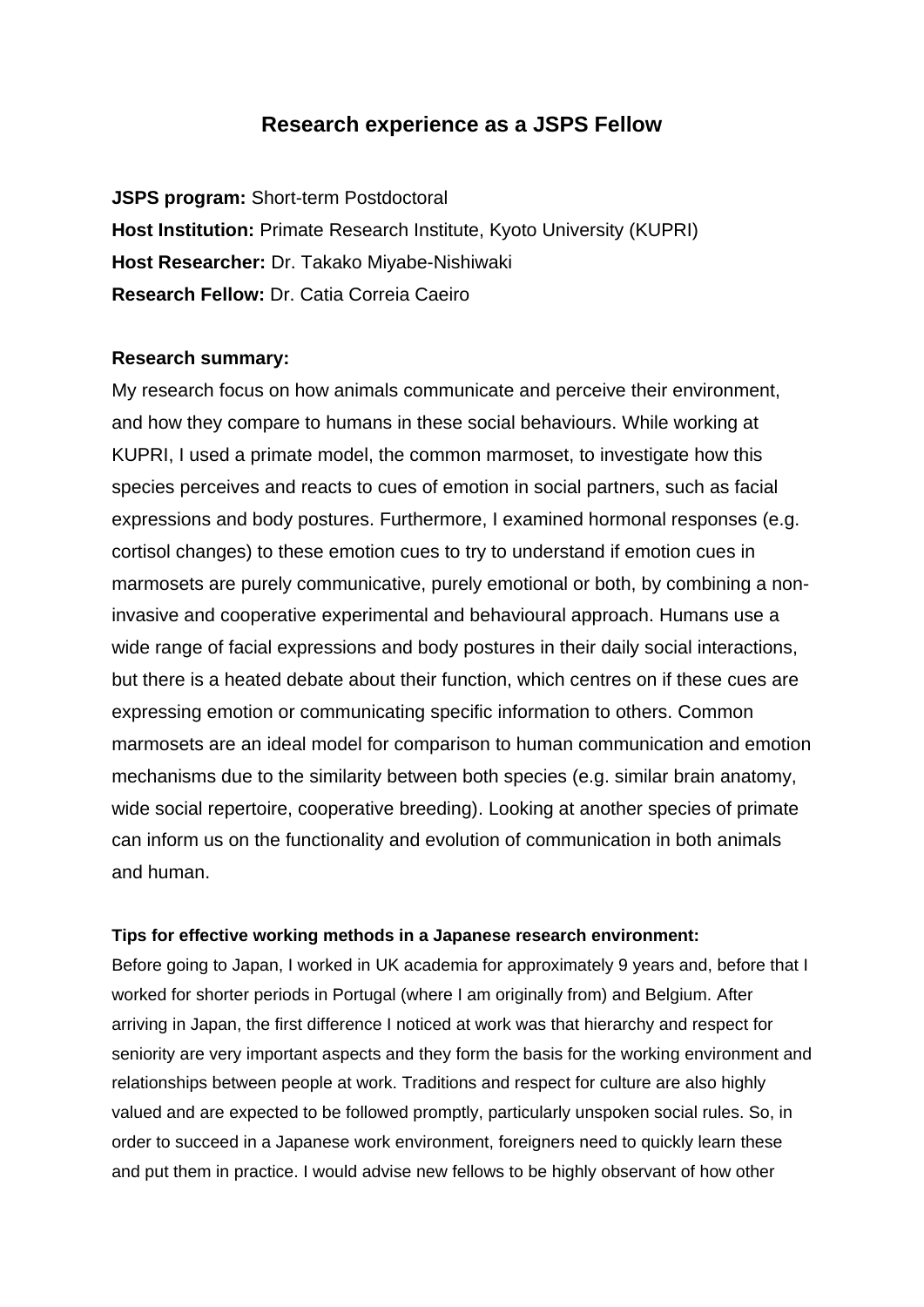## **Research experience as a JSPS Fellow**

**JSPS program:** Short-term Postdoctoral **Host Institution:** Primate Research Institute, Kyoto University (KUPRI) **Host Researcher:** Dr. Takako Miyabe-Nishiwaki **Research Fellow:** Dr. Catia Correia Caeiro

## **Research summary:**

My research focus on how animals communicate and perceive their environment, and how they compare to humans in these social behaviours. While working at KUPRI, I used a primate model, the common marmoset, to investigate how this species perceives and reacts to cues of emotion in social partners, such as facial expressions and body postures. Furthermore, I examined hormonal responses (e.g. cortisol changes) to these emotion cues to try to understand if emotion cues in marmosets are purely communicative, purely emotional or both, by combining a noninvasive and cooperative experimental and behavioural approach. Humans use a wide range of facial expressions and body postures in their daily social interactions, but there is a heated debate about their function, which centres on if these cues are expressing emotion or communicating specific information to others. Common marmosets are an ideal model for comparison to human communication and emotion mechanisms due to the similarity between both species (e.g. similar brain anatomy, wide social repertoire, cooperative breeding). Looking at another species of primate can inform us on the functionality and evolution of communication in both animals and human.

## **Tips for effective working methods in a Japanese research environment:**

Before going to Japan, I worked in UK academia for approximately 9 years and, before that I worked for shorter periods in Portugal (where I am originally from) and Belgium. After arriving in Japan, the first difference I noticed at work was that hierarchy and respect for seniority are very important aspects and they form the basis for the working environment and relationships between people at work. Traditions and respect for culture are also highly valued and are expected to be followed promptly, particularly unspoken social rules. So, in order to succeed in a Japanese work environment, foreigners need to quickly learn these and put them in practice. I would advise new fellows to be highly observant of how other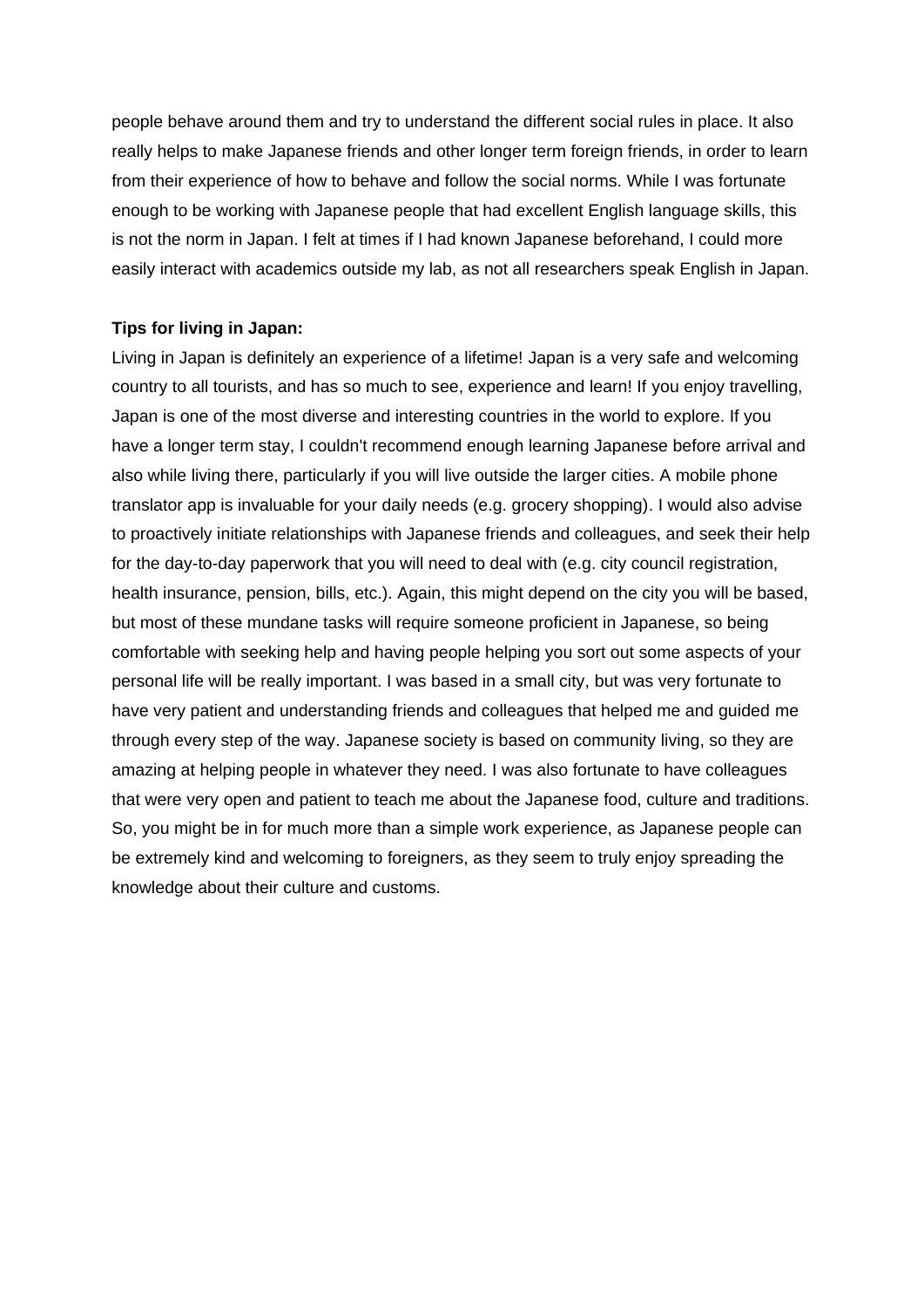people behave around them and try to understand the different social rules in place. It also really helps to make Japanese friends and other longer term foreign friends, in order to learn from their experience of how to behave and follow the social norms. While I was fortunate enough to be working with Japanese people that had excellent English language skills, this is not the norm in Japan. I felt at times if I had known Japanese beforehand, I could more easily interact with academics outside my lab, as not all researchers speak English in Japan.

## **Tips for living in Japan:**

Living in Japan is definitely an experience of a lifetime! Japan is a very safe and welcoming country to all tourists, and has so much to see, experience and learn! If you enjoy travelling, Japan is one of the most diverse and interesting countries in the world to explore. If you have a longer term stay, I couldn't recommend enough learning Japanese before arrival and also while living there, particularly if you will live outside the larger cities. A mobile phone translator app is invaluable for your daily needs (e.g. grocery shopping). I would also advise to proactively initiate relationships with Japanese friends and colleagues, and seek their help for the day-to-day paperwork that you will need to deal with (e.g. city council registration, health insurance, pension, bills, etc.). Again, this might depend on the city you will be based, but most of these mundane tasks will require someone proficient in Japanese, so being comfortable with seeking help and having people helping you sort out some aspects of your personal life will be really important. I was based in a small city, but was very fortunate to have very patient and understanding friends and colleagues that helped me and guided me through every step of the way. Japanese society is based on community living, so they are amazing at helping people in whatever they need. I was also fortunate to have colleagues that were very open and patient to teach me about the Japanese food, culture and traditions. So, you might be in for much more than a simple work experience, as Japanese people can be extremely kind and welcoming to foreigners, as they seem to truly enjoy spreading the knowledge about their culture and customs.